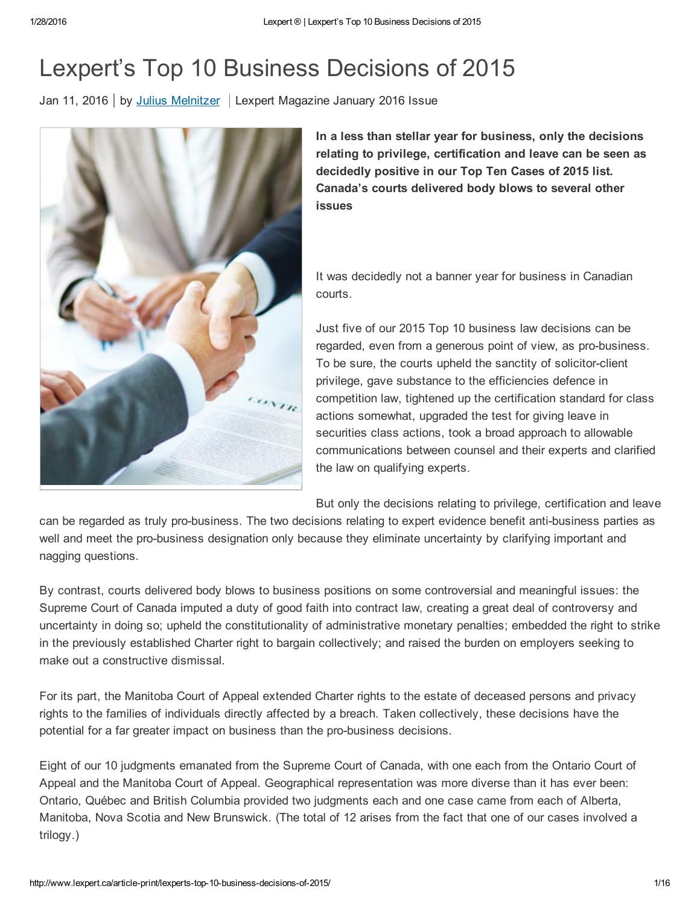# Lexpert's Top 10 Business Decisions of 2015

Jan 11, 2016 by Julius [Melnitzer](http://www.lexpert.ca/directory/practitioner/julius-melnitzer-12731/julius-melnitzer-30733/) | Lexpert Magazine January 2016 Issue



In a less than stellar year for business, only the decisions relating to privilege, certification and leave can be seen as decidedly positive in our Top Ten Cases of 2015 list. Canada's courts delivered body blows to several other issues

It was decidedly not a banner year for business in Canadian courts.

Just five of our 2015 Top 10 business law decisions can be regarded, even from a generous point of view, as pro-business. To be sure, the courts upheld the sanctity of solicitor-client privilege, gave substance to the efficiencies defence in competition law, tightened up the certification standard for class actions somewhat, upgraded the test for giving leave in securities class actions, took a broad approach to allowable communications between counsel and their experts and clarified the law on qualifying experts.

But only the decisions relating to privilege, certification and leave

can be regarded as truly pro-business. The two decisions relating to expert evidence benefit anti-business parties as well and meet the pro-business designation only because they eliminate uncertainty by clarifying important and nagging questions.

By contrast, courts delivered body blows to business positions on some controversial and meaningful issues: the Supreme Court of Canada imputed a duty of good faith into contract law, creating a great deal of controversy and uncertainty in doing so; upheld the constitutionality of administrative monetary penalties; embedded the right to strike in the previously established Charter right to bargain collectively; and raised the burden on employers seeking to make out a constructive dismissal.

For its part, the Manitoba Court of Appeal extended Charter rights to the estate of deceased persons and privacy rights to the families of individuals directly affected by a breach. Taken collectively, these decisions have the potential for a far greater impact on business than the pro-business decisions.

Eight of our 10 judgments emanated from the Supreme Court of Canada, with one each from the Ontario Court of Appeal and the Manitoba Court of Appeal. Geographical representation was more diverse than it has ever been: Ontario, Québec and British Columbia provided two judgments each and one case came from each of Alberta, Manitoba, Nova Scotia and New Brunswick. (The total of 12 arises from the fact that one of our cases involved a trilogy.)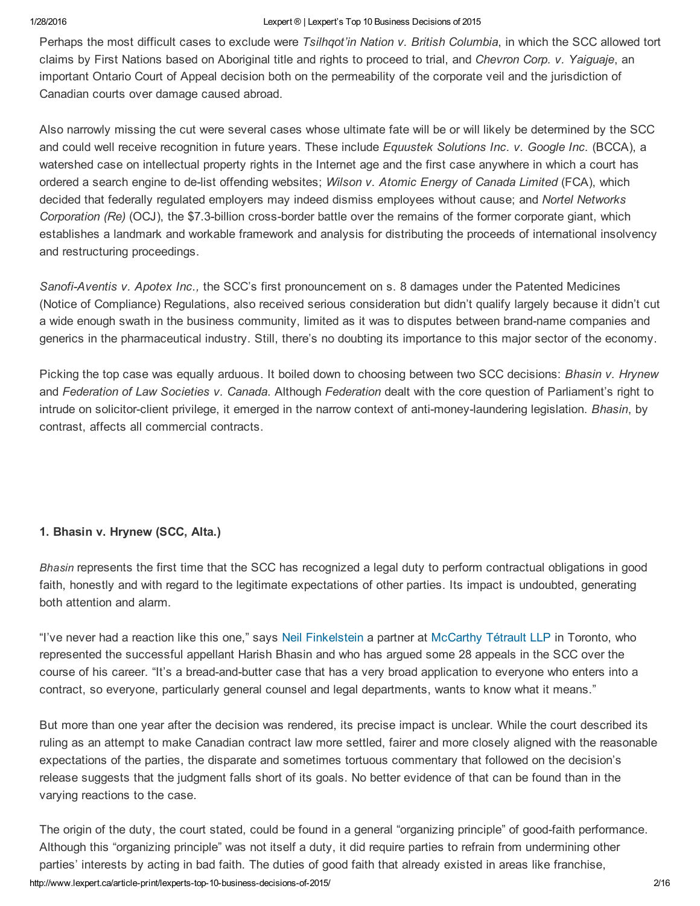Perhaps the most difficult cases to exclude were *Tsilhqot'in Nation v. British Columbia*, in which the SCC allowed tort claims by First Nations based on Aboriginal title and rights to proceed to trial, and *Chevron Corp. v. Yaiguaje*, an important Ontario Court of Appeal decision both on the permeability of the corporate veil and the jurisdiction of Canadian courts over damage caused abroad.

Also narrowly missing the cut were several cases whose ultimate fate will be or will likely be determined by the SCC and could well receive recognition in future years. These include *Equustek Solutions Inc. v. Google Inc.* (BCCA), a watershed case on intellectual property rights in the Internet age and the first case anywhere in which a court has ordered a search engine to delist offending websites; *Wilson v. Atomic Energy of Canada Limited* (FCA), which decided that federally regulated employers may indeed dismiss employees without cause; and *Nortel Networks Corporation (Re)* (OCJ), the \$7.3billion crossborder battle over the remains of the former corporate giant, which establishes a landmark and workable framework and analysis for distributing the proceeds of international insolvency and restructuring proceedings.

*SanofiAventis v. Apotex Inc.,* the SCC's first pronouncement on s. 8 damages under the Patented Medicines (Notice of Compliance) Regulations, also received serious consideration but didn't qualify largely because it didn't cut a wide enough swath in the business community, limited as it was to disputes between brand-name companies and generics in the pharmaceutical industry. Still, there's no doubting its importance to this major sector of the economy.

Picking the top case was equally arduous. It boiled down to choosing between two SCC decisions: *Bhasin v. Hrynew* and *Federation of Law Societies v. Canada*. Although *Federation* dealt with the core question of Parliament's right to intrude on solicitor-client privilege, it emerged in the narrow context of anti-money-laundering legislation. Bhasin, by contrast, affects all commercial contracts.

### 1. Bhasin v. Hrynew (SCC, Alta.)

*Bhasin* represents the first time that the SCC has recognized a legal duty to perform contractual obligations in good faith, honestly and with regard to the legitimate expectations of other parties. Its impact is undoubted, generating both attention and alarm.

"I've never had a reaction like this one," says Neil [Finkelstein](http://www.lexpert.ca/directory/practitioner/mccarthy-tetrault-llp-388/neil-finkelstein-1429/) a partner at [McCarthy](http://www.lexpert.ca/directory/law-firm-profile/mccarthy-tetrault-llp-388) Tétrault LLP in Toronto, who represented the successful appellant Harish Bhasin and who has argued some 28 appeals in the SCC over the course of his career. "It's a bread-and-butter case that has a very broad application to everyone who enters into a contract, so everyone, particularly general counsel and legal departments, wants to know what it means."

But more than one year after the decision was rendered, its precise impact is unclear. While the court described its ruling as an attempt to make Canadian contract law more settled, fairer and more closely aligned with the reasonable expectations of the parties, the disparate and sometimes tortuous commentary that followed on the decision's release suggests that the judgment falls short of its goals. No better evidence of that can be found than in the varying reactions to the case.

http://www.lexpert.ca/article-print/lexperts-top-10-business-decisions-of-2015/ 2016 The origin of the duty, the court stated, could be found in a general "organizing principle" of good-faith performance. Although this "organizing principle" was not itself a duty, it did require parties to refrain from undermining other parties' interests by acting in bad faith. The duties of good faith that already existed in areas like franchise,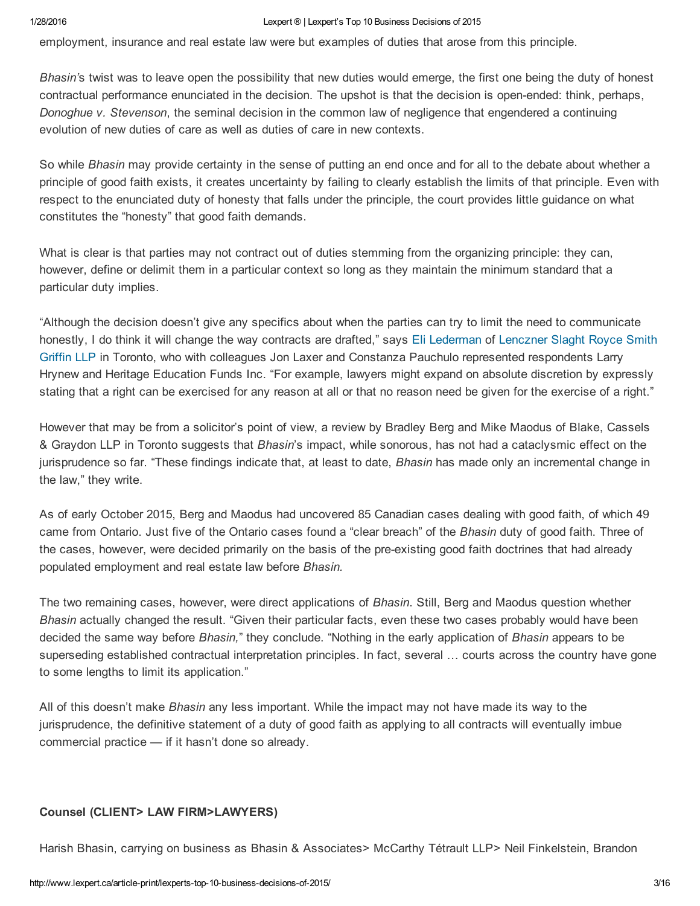employment, insurance and real estate law were but examples of duties that arose from this principle.

*Bhasin'*s twist was to leave open the possibility that new duties would emerge, the first one being the duty of honest contractual performance enunciated in the decision. The upshot is that the decision is open-ended: think, perhaps, *Donoghue v. Stevenson*, the seminal decision in the common law of negligence that engendered a continuing evolution of new duties of care as well as duties of care in new contexts.

So while *Bhasin* may provide certainty in the sense of putting an end once and for all to the debate about whether a principle of good faith exists, it creates uncertainty by failing to clearly establish the limits of that principle. Even with respect to the enunciated duty of honesty that falls under the principle, the court provides little guidance on what constitutes the "honesty" that good faith demands.

What is clear is that parties may not contract out of duties stemming from the organizing principle: they can, however, define or delimit them in a particular context so long as they maintain the minimum standard that a particular duty implies.

"Although the decision doesn't give any specifics about when the parties can try to limit the need to communicate honestly, I do think it will change the way contracts are drafted," says Eli [Lederman](http://www.lexpert.ca/directory/practitioner/lenczner-slaght-royce-smith-griffin-llp-331/eli-s-lederman-48852) of Lenczner Slaght Royce Smith Griffin LLP in Toronto, who with colleagues Jon Laxer and Constanza Pauchulo represented [respondents](http://www.lexpert.ca/directory/law-firm-profile/lenczner-slaght-royce-smith-griffin-llp-331) Larry Hrynew and Heritage Education Funds Inc. "For example, lawyers might expand on absolute discretion by expressly stating that a right can be exercised for any reason at all or that no reason need be given for the exercise of a right."

However that may be from a solicitor's point of view, a review by Bradley Berg and Mike Maodus of Blake, Cassels & Graydon LLP in Toronto suggests that *Bhasin*'s impact, while sonorous, has not had a cataclysmic effect on the jurisprudence so far. "These findings indicate that, at least to date, *Bhasin* has made only an incremental change in the law," they write.

As of early October 2015, Berg and Maodus had uncovered 85 Canadian cases dealing with good faith, of which 49 came from Ontario. Just five of the Ontario cases found a "clear breach" of the *Bhasin* duty of good faith. Three of the cases, however, were decided primarily on the basis of the pre-existing good faith doctrines that had already populated employment and real estate law before *Bhasin.*

The two remaining cases, however, were direct applications of *Bhasin*. Still, Berg and Maodus question whether *Bhasin* actually changed the result. "Given their particular facts, even these two cases probably would have been decided the same way before *Bhasin,*" they conclude. "Nothing in the early application of *Bhasin* appears to be superseding established contractual interpretation principles. In fact, several … courts across the country have gone to some lengths to limit its application."

All of this doesn't make *Bhasin* any less important. While the impact may not have made its way to the jurisprudence, the definitive statement of a duty of good faith as applying to all contracts will eventually imbue commercial practice — if it hasn't done so already.

### Counsel (CLIENT> LAW FIRM>LAWYERS)

Harish Bhasin, carrying on business as Bhasin & Associates> McCarthy Tétrault LLP> Neil Finkelstein, Brandon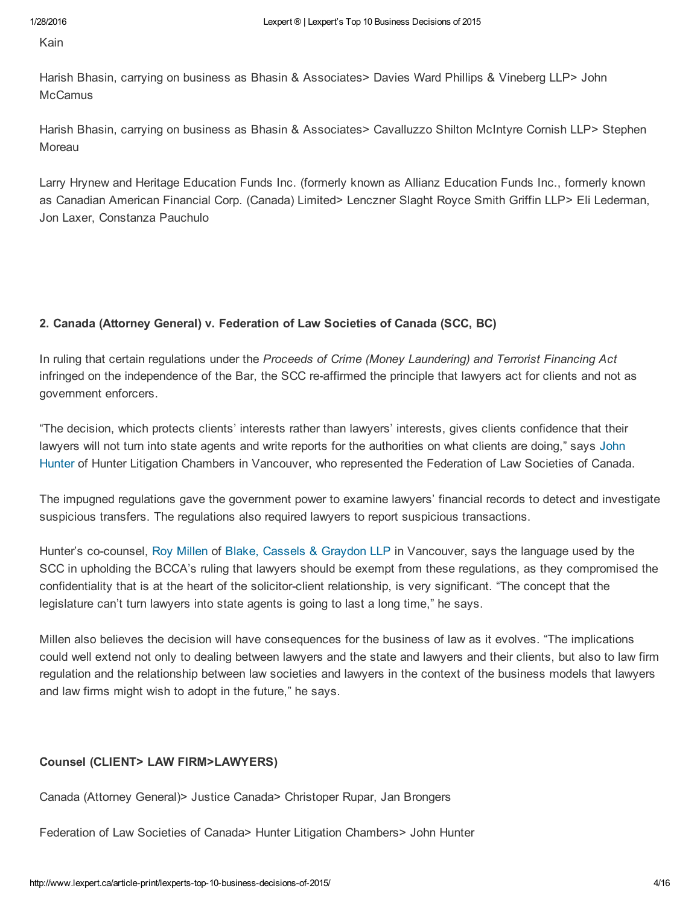Kain

Harish Bhasin, carrying on business as Bhasin & Associates> Davies Ward Phillips & Vineberg LLP> John **McCamus** 

Harish Bhasin, carrying on business as Bhasin & Associates> Cavalluzzo Shilton McIntyre Cornish LLP> Stephen Moreau

Larry Hrynew and Heritage Education Funds Inc. (formerly known as Allianz Education Funds Inc., formerly known as Canadian American Financial Corp. (Canada) Limited> Lenczner Slaght Royce Smith Griffin LLP> Eli Lederman, Jon Laxer, Constanza Pauchulo

### 2. Canada (Attorney General) v. Federation of Law Societies of Canada (SCC, BC)

In ruling that certain regulations under the *Proceeds of Crime (Money Laundering) and Terrorist Financing Act* infringed on the independence of the Bar, the SCC re-affirmed the principle that lawyers act for clients and not as government enforcers.

"The decision, which protects clients' interests rather than lawyers' interests, gives clients confidence that their lawyers will not turn into state agents and write reports for the authorities on what clients are doing," says John Hunter of Hunter Litigation Chambers in Vancouver, who [represented](http://www.lexpert.ca/directory/practitioner/hunter-litigation-chambers-1183/john-j-l-hunter-4698) the Federation of Law Societies of Canada.

The impugned regulations gave the government power to examine lawyers' financial records to detect and investigate suspicious transfers. The regulations also required lawyers to report suspicious transactions.

Hunter's cocounsel, Roy [Millen](http://www.lexpert.ca/directory/practitioner/blake-cassels-and-graydon-llp-56/roy-millen-43239) of Blake, Cassels & [Graydon](http://www.lexpert.ca/directory/law-firm-profile/blake-cassels-and-graydon-llp-56) LLP in Vancouver, says the language used by the SCC in upholding the BCCA's ruling that lawyers should be exempt from these regulations, as they compromised the confidentiality that is at the heart of the solicitor-client relationship, is very significant. "The concept that the legislature can't turn lawyers into state agents is going to last a long time," he says.

Millen also believes the decision will have consequences for the business of law as it evolves. "The implications could well extend not only to dealing between lawyers and the state and lawyers and their clients, but also to law firm regulation and the relationship between law societies and lawyers in the context of the business models that lawyers and law firms might wish to adopt in the future," he says.

### Counsel (CLIENT> LAW FIRM>LAWYERS)

Canada (Attorney General)> Justice Canada> Christoper Rupar, Jan Brongers

Federation of Law Societies of Canada> Hunter Litigation Chambers> John Hunter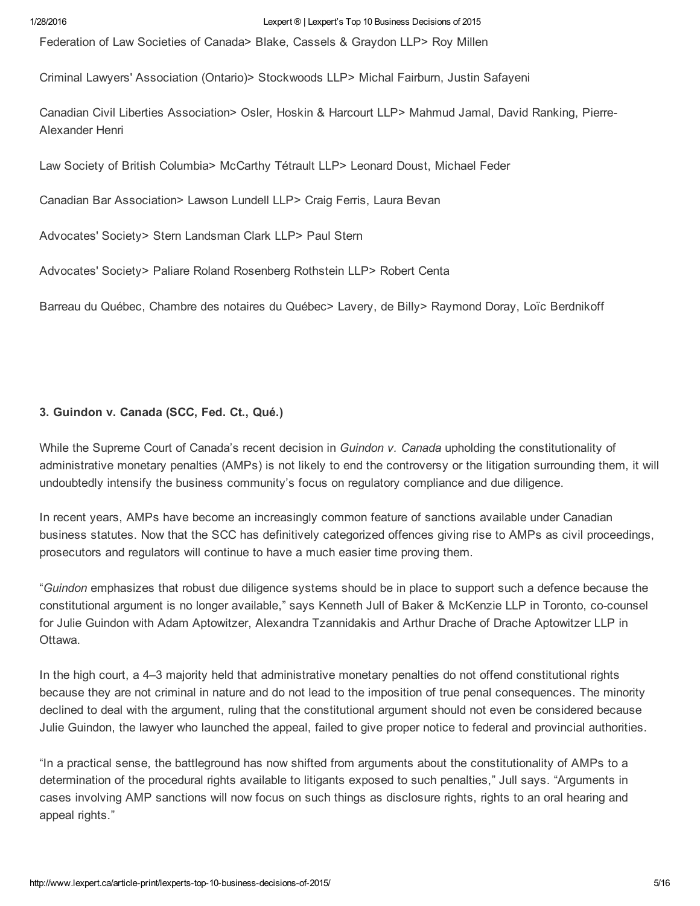Federation of Law Societies of Canada> Blake, Cassels & Graydon LLP> Roy Millen

Criminal Lawyers' Association (Ontario)> Stockwoods LLP> Michal Fairburn, Justin Safayeni

Canadian Civil Liberties Association> Osler, Hoskin & Harcourt LLP> Mahmud Jamal, David Ranking, Pierre-Alexander Henri

Law Society of British Columbia> McCarthy Tétrault LLP> Leonard Doust, Michael Feder

Canadian Bar Association> Lawson Lundell LLP> Craig Ferris, Laura Bevan

Advocates' Society> Stern Landsman Clark LLP> Paul Stern

Advocates' Society> Paliare Roland Rosenberg Rothstein LLP> Robert Centa

Barreau du Québec, Chambre des notaires du Québec> Lavery, de Billy> Raymond Doray, Loïc Berdnikoff

### 3. Guindon v. Canada (SCC, Fed. Ct., Qué.)

While the Supreme Court of Canada's recent decision in *Guindon v. Canada* upholding the constitutionality of administrative monetary penalties (AMPs) is not likely to end the controversy or the litigation surrounding them, it will undoubtedly intensify the business community's focus on regulatory compliance and due diligence.

In recent years, AMPs have become an increasingly common feature of sanctions available under Canadian business statutes. Now that the SCC has definitively categorized offences giving rise to AMPs as civil proceedings, prosecutors and regulators will continue to have a much easier time proving them.

"*Guindon* emphasizes that robust due diligence systems should be in place to support such a defence because the constitutional argument is no longer available," says Kenneth Jull of Baker & McKenzie LLP in Toronto, cocounsel for Julie Guindon with Adam Aptowitzer, Alexandra Tzannidakis and Arthur Drache of Drache Aptowitzer LLP in Ottawa.

In the high court, a 4–3 majority held that administrative monetary penalties do not offend constitutional rights because they are not criminal in nature and do not lead to the imposition of true penal consequences. The minority declined to deal with the argument, ruling that the constitutional argument should not even be considered because Julie Guindon, the lawyer who launched the appeal, failed to give proper notice to federal and provincial authorities.

"In a practical sense, the battleground has now shifted from arguments about the constitutionality of AMPs to a determination of the procedural rights available to litigants exposed to such penalties," Jull says. "Arguments in cases involving AMP sanctions will now focus on such things as disclosure rights, rights to an oral hearing and appeal rights."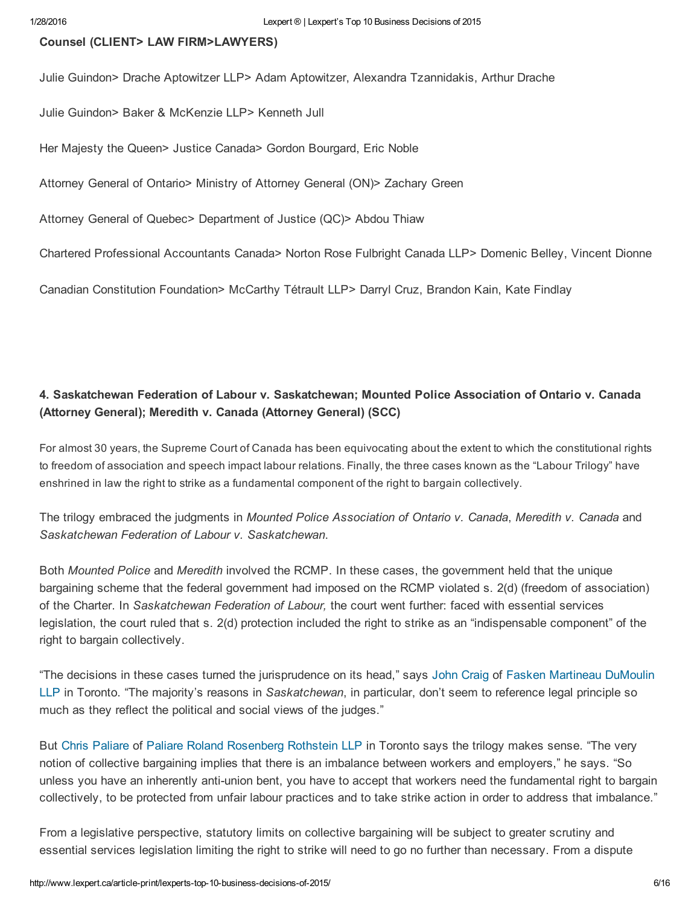#### Counsel (CLIENT> LAW FIRM>LAWYERS)

Julie Guindon> Drache Aptowitzer LLP> Adam Aptowitzer, Alexandra Tzannidakis, Arthur Drache

Julie Guindon> Baker & McKenzie LLP> Kenneth Jull

Her Majesty the Queen> Justice Canada> Gordon Bourgard, Eric Noble

Attorney General of Ontario> Ministry of Attorney General (ON)> Zachary Green

Attorney General of Quebec> Department of Justice (QC)> Abdou Thiaw

Chartered Professional Accountants Canada> Norton Rose Fulbright Canada LLP> Domenic Belley, Vincent Dionne

Canadian Constitution Foundation> McCarthy Tétrault LLP> Darryl Cruz, Brandon Kain, Kate Findlay

### 4. Saskatchewan Federation of Labour v. Saskatchewan; Mounted Police Association of Ontario v. Canada (Attorney General); Meredith v. Canada (Attorney General) (SCC)

For almost 30 years, the Supreme Court of Canada has been equivocating about the extent to which the constitutional rights to freedom of association and speech impact labour relations. Finally, the three cases known as the "Labour Trilogy" have enshrined in law the right to strike as a fundamental component of the right to bargain collectively.

The trilogy embraced the judgments in *Mounted Police Association of Ontario v. Canada*, *Meredith v. Canada* and *Saskatchewan Federation of Labour v. Saskatchewan*.

Both *Mounted Police* and *Meredith* involved the RCMP. In these cases, the government held that the unique bargaining scheme that the federal government had imposed on the RCMP violated s. 2(d) (freedom of association) of the Charter. In *Saskatchewan Federation of Labour,* the court went further: faced with essential services legislation, the court ruled that s. 2(d) protection included the right to strike as an "indispensable component" of the right to bargain collectively.

"The decisions in these cases turned the jurisprudence on its head," says John [Craig](http://www.lexpert.ca/directory/practitioner/fasken-martineau-dumoulin-llp-174/john-d-r-craig-27933/) of Fasken Martineau DuMoulin LLP in Toronto. "The majority's reasons in *[Saskatchewan](http://www.lexpert.ca/directory/law-firm-profile/fasken-martineau-dumoulin-llp-174/)*, in particular, don't seem to reference legal principle so much as they reflect the political and social views of the judges."

But Chris [Paliare](http://www.lexpert.ca/500/practitioner/paliare-roland-rosenberg-rothstein-llp-19573/chris-g-paliare-3187) of Paliare Roland [Rosenberg](http://www.lexpert.ca/directory/law-firm-profile/paliare-roland-rosenberg-rothstein-llp-19573/) Rothstein LLP in Toronto says the trilogy makes sense. "The very notion of collective bargaining implies that there is an imbalance between workers and employers," he says. "So unless you have an inherently anti-union bent, you have to accept that workers need the fundamental right to bargain collectively, to be protected from unfair labour practices and to take strike action in order to address that imbalance."

From a legislative perspective, statutory limits on collective bargaining will be subject to greater scrutiny and essential services legislation limiting the right to strike will need to go no further than necessary. From a dispute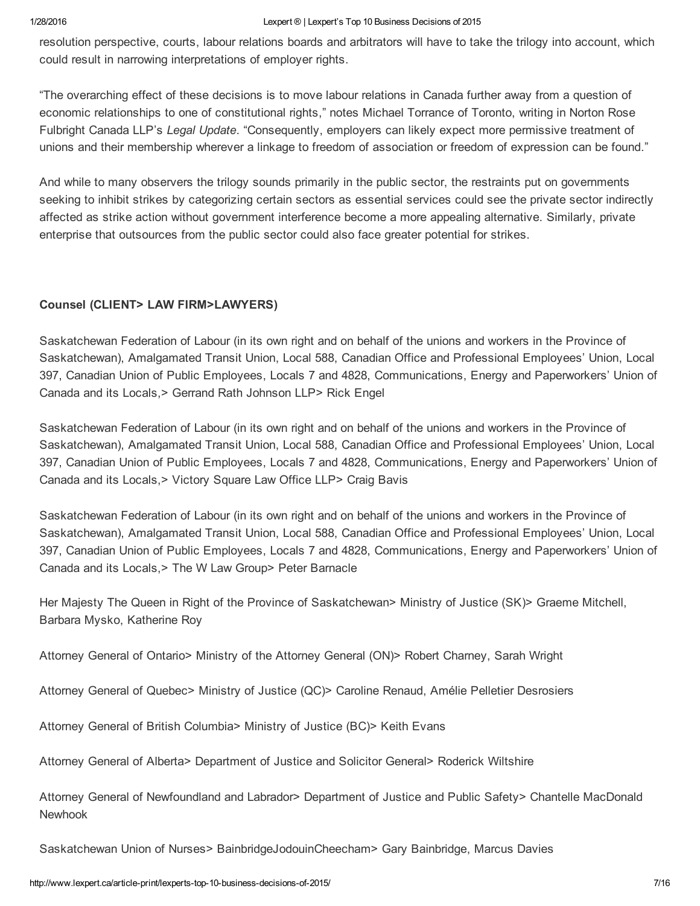resolution perspective, courts, labour relations boards and arbitrators will have to take the trilogy into account, which could result in narrowing interpretations of employer rights.

"The overarching effect of these decisions is to move labour relations in Canada further away from a question of economic relationships to one of constitutional rights," notes Michael Torrance of Toronto, writing in Norton Rose Fulbright Canada LLP's *Legal Update*. "Consequently, employers can likely expect more permissive treatment of unions and their membership wherever a linkage to freedom of association or freedom of expression can be found."

And while to many observers the trilogy sounds primarily in the public sector, the restraints put on governments seeking to inhibit strikes by categorizing certain sectors as essential services could see the private sector indirectly affected as strike action without government interference become a more appealing alternative. Similarly, private enterprise that outsources from the public sector could also face greater potential for strikes.

## Counsel (CLIENT> LAW FIRM>LAWYERS)

Saskatchewan Federation of Labour (in its own right and on behalf of the unions and workers in the Province of Saskatchewan), Amalgamated Transit Union, Local 588, Canadian Office and Professional Employees' Union, Local 397, Canadian Union of Public Employees, Locals 7 and 4828, Communications, Energy and Paperworkers' Union of Canada and its Locals,> Gerrand Rath Johnson LLP> Rick Engel

Saskatchewan Federation of Labour (in its own right and on behalf of the unions and workers in the Province of Saskatchewan), Amalgamated Transit Union, Local 588, Canadian Office and Professional Employees' Union, Local 397, Canadian Union of Public Employees, Locals 7 and 4828, Communications, Energy and Paperworkers' Union of Canada and its Locals,> Victory Square Law Office LLP> Craig Bavis

Saskatchewan Federation of Labour (in its own right and on behalf of the unions and workers in the Province of Saskatchewan), Amalgamated Transit Union, Local 588, Canadian Office and Professional Employees' Union, Local 397, Canadian Union of Public Employees, Locals 7 and 4828, Communications, Energy and Paperworkers' Union of Canada and its Locals,> The W Law Group> Peter Barnacle

Her Majesty The Queen in Right of the Province of Saskatchewan> Ministry of Justice (SK)> Graeme Mitchell, Barbara Mysko, Katherine Roy

Attorney General of Ontario> Ministry of the Attorney General (ON)> Robert Charney, Sarah Wright

Attorney General of Quebec> Ministry of Justice (QC)> Caroline Renaud, Amélie Pelletier Desrosiers

Attorney General of British Columbia> Ministry of Justice (BC)> Keith Evans

Attorney General of Alberta> Department of Justice and Solicitor General> Roderick Wiltshire

Attorney General of Newfoundland and Labrador> Department of Justice and Public Safety> Chantelle MacDonald Newhook

Saskatchewan Union of Nurses> BainbridgeJodouinCheecham> Gary Bainbridge, Marcus Davies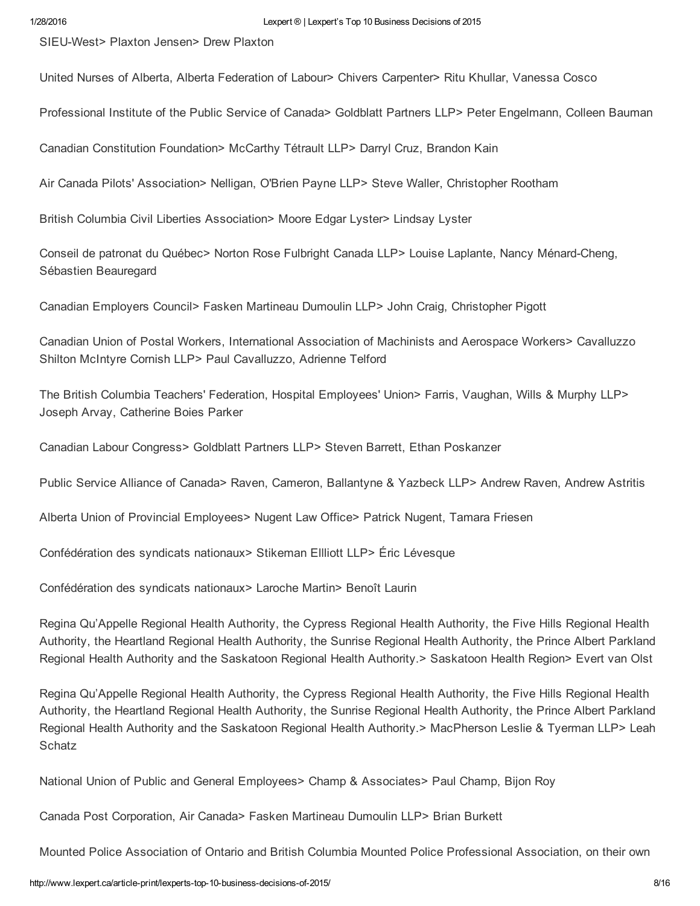SIEUWest> Plaxton Jensen> Drew Plaxton

United Nurses of Alberta, Alberta Federation of Labour> Chivers Carpenter> Ritu Khullar, Vanessa Cosco

Professional Institute of the Public Service of Canada> Goldblatt Partners LLP> Peter Engelmann, Colleen Bauman

Canadian Constitution Foundation> McCarthy Tétrault LLP> Darryl Cruz, Brandon Kain

Air Canada Pilots' Association> Nelligan, O'Brien Payne LLP> Steve Waller, Christopher Rootham

British Columbia Civil Liberties Association> Moore Edgar Lyster> Lindsay Lyster

Conseil de patronat du Québec> Norton Rose Fulbright Canada LLP> Louise Laplante, Nancy Ménard-Cheng, Sébastien Beauregard

Canadian Employers Council> Fasken Martineau Dumoulin LLP> John Craig, Christopher Pigott

Canadian Union of Postal Workers, International Association of Machinists and Aerospace Workers> Cavalluzzo Shilton McIntyre Cornish LLP> Paul Cavalluzzo, Adrienne Telford

The British Columbia Teachers' Federation, Hospital Employees' Union> Farris, Vaughan, Wills & Murphy LLP> Joseph Arvay, Catherine Boies Parker

Canadian Labour Congress> Goldblatt Partners LLP> Steven Barrett, Ethan Poskanzer

Public Service Alliance of Canada> Raven, Cameron, Ballantyne & Yazbeck LLP> Andrew Raven, Andrew Astritis

Alberta Union of Provincial Employees> Nugent Law Office> Patrick Nugent, Tamara Friesen

Confédération des syndicats nationaux> Stikeman Ellliott LLP> Éric Lévesque

Confédération des syndicats nationaux> Laroche Martin> Benoît Laurin

Regina Qu'Appelle Regional Health Authority, the Cypress Regional Health Authority, the Five Hills Regional Health Authority, the Heartland Regional Health Authority, the Sunrise Regional Health Authority, the Prince Albert Parkland Regional Health Authority and the Saskatoon Regional Health Authority.> Saskatoon Health Region> Evert van Olst

Regina Qu'Appelle Regional Health Authority, the Cypress Regional Health Authority, the Five Hills Regional Health Authority, the Heartland Regional Health Authority, the Sunrise Regional Health Authority, the Prince Albert Parkland Regional Health Authority and the Saskatoon Regional Health Authority.> MacPherson Leslie & Tyerman LLP> Leah **Schatz** 

National Union of Public and General Employees> Champ & Associates> Paul Champ, Bijon Roy

Canada Post Corporation, Air Canada> Fasken Martineau Dumoulin LLP> Brian Burkett

Mounted Police Association of Ontario and British Columbia Mounted Police Professional Association, on their own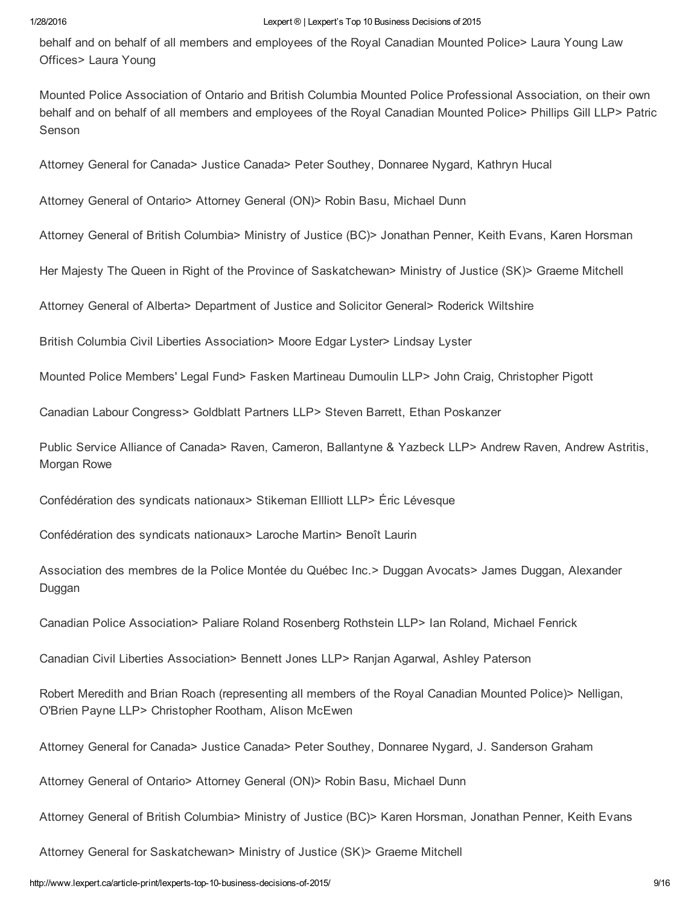behalf and on behalf of all members and employees of the Royal Canadian Mounted Police> Laura Young Law Offices> Laura Young

Mounted Police Association of Ontario and British Columbia Mounted Police Professional Association, on their own behalf and on behalf of all members and employees of the Royal Canadian Mounted Police> Phillips Gill LLP> Patric Senson

Attorney General for Canada> Justice Canada> Peter Southey, Donnaree Nygard, Kathryn Hucal

Attorney General of Ontario> Attorney General (ON)> Robin Basu, Michael Dunn

Attorney General of British Columbia> Ministry of Justice (BC)> Jonathan Penner, Keith Evans, Karen Horsman

Her Majesty The Queen in Right of the Province of Saskatchewan> Ministry of Justice (SK)> Graeme Mitchell

Attorney General of Alberta> Department of Justice and Solicitor General> Roderick Wiltshire

British Columbia Civil Liberties Association> Moore Edgar Lyster> Lindsay Lyster

Mounted Police Members' Legal Fund> Fasken Martineau Dumoulin LLP> John Craig, Christopher Pigott

Canadian Labour Congress> Goldblatt Partners LLP> Steven Barrett, Ethan Poskanzer

Public Service Alliance of Canada> Raven, Cameron, Ballantyne & Yazbeck LLP> Andrew Raven, Andrew Astritis, Morgan Rowe

Confédération des syndicats nationaux> Stikeman Ellliott LLP> Éric Lévesque

Confédération des syndicats nationaux> Laroche Martin> Benoît Laurin

Association des membres de la Police Montée du Québec Inc.> Duggan Avocats> James Duggan, Alexander Duggan

Canadian Police Association> Paliare Roland Rosenberg Rothstein LLP> Ian Roland, Michael Fenrick

Canadian Civil Liberties Association> Bennett Jones LLP> Ranjan Agarwal, Ashley Paterson

Robert Meredith and Brian Roach (representing all members of the Royal Canadian Mounted Police)> Nelligan, O'Brien Payne LLP> Christopher Rootham, Alison McEwen

Attorney General for Canada> Justice Canada> Peter Southey, Donnaree Nygard, J. Sanderson Graham

Attorney General of Ontario> Attorney General (ON)> Robin Basu, Michael Dunn

Attorney General of British Columbia> Ministry of Justice (BC)> Karen Horsman, Jonathan Penner, Keith Evans

Attorney General for Saskatchewan> Ministry of Justice (SK)> Graeme Mitchell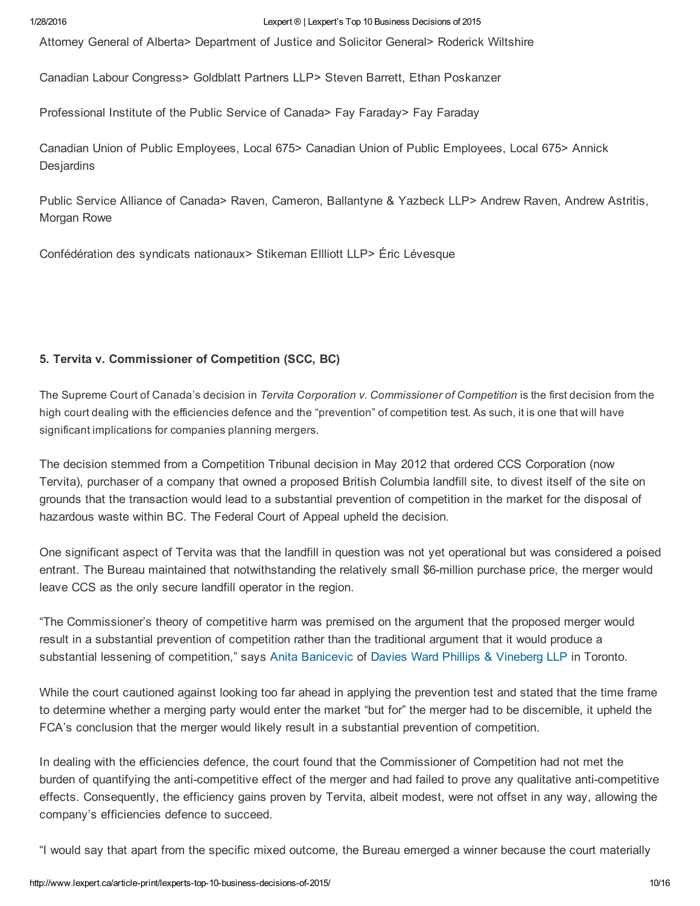Attorney General of Alberta> Department of Justice and Solicitor General> Roderick Wiltshire

Canadian Labour Congress> Goldblatt Partners LLP> Steven Barrett, Ethan Poskanzer

Professional Institute of the Public Service of Canada> Fay Faraday> Fay Faraday

Canadian Union of Public Employees, Local 675> Canadian Union of Public Employees, Local 675> Annick **Desjardins** 

Public Service Alliance of Canada> Raven, Cameron, Ballantyne & Yazbeck LLP> Andrew Raven, Andrew Astritis, Morgan Rowe

Confédération des syndicats nationaux> Stikeman Ellliott LLP> Éric Lévesque

### 5. Tervita v. Commissioner of Competition (SCC, BC)

The Supreme Court of Canada's decision in *Tervita Corporation v. Commissioner of Competition* is the first decision from the high court dealing with the efficiencies defence and the "prevention" of competition test. As such, it is one that will have significant implications for companies planning mergers.

The decision stemmed from a Competition Tribunal decision in May 2012 that ordered CCS Corporation (now Tervita), purchaser of a company that owned a proposed British Columbia landfill site, to divest itself of the site on grounds that the transaction would lead to a substantial prevention of competition in the market for the disposal of hazardous waste within BC. The Federal Court of Appeal upheld the decision.

One significant aspect of Tervita was that the landfill in question was not yet operational but was considered a poised entrant. The Bureau maintained that notwithstanding the relatively small \$6-million purchase price, the merger would leave CCS as the only secure landfill operator in the region.

"The Commissioner's theory of competitive harm was premised on the argument that the proposed merger would result in a substantial prevention of competition rather than the traditional argument that it would produce a substantial lessening of competition," says Anita [Banicevic](http://www.lexpert.ca/directory/practitioner/davies-ward-phillips-and-vineberg-llp-132/anita-banicevic-43740) of Davies Ward Phillips & [Vineberg](http://www.lexpert.ca/directory/law-firm-profile/davies-ward-phillips-and-vineberg-llp-132) LLP in Toronto.

While the court cautioned against looking too far ahead in applying the prevention test and stated that the time frame to determine whether a merging party would enter the market "but for" the merger had to be discernible, it upheld the FCA's conclusion that the merger would likely result in a substantial prevention of competition.

In dealing with the efficiencies defence, the court found that the Commissioner of Competition had not met the burden of quantifying the anti-competitive effect of the merger and had failed to prove any qualitative anti-competitive effects. Consequently, the efficiency gains proven by Tervita, albeit modest, were not offset in any way, allowing the company's efficiencies defence to succeed.

"I would say that apart from the specific mixed outcome, the Bureau emerged a winner because the court materially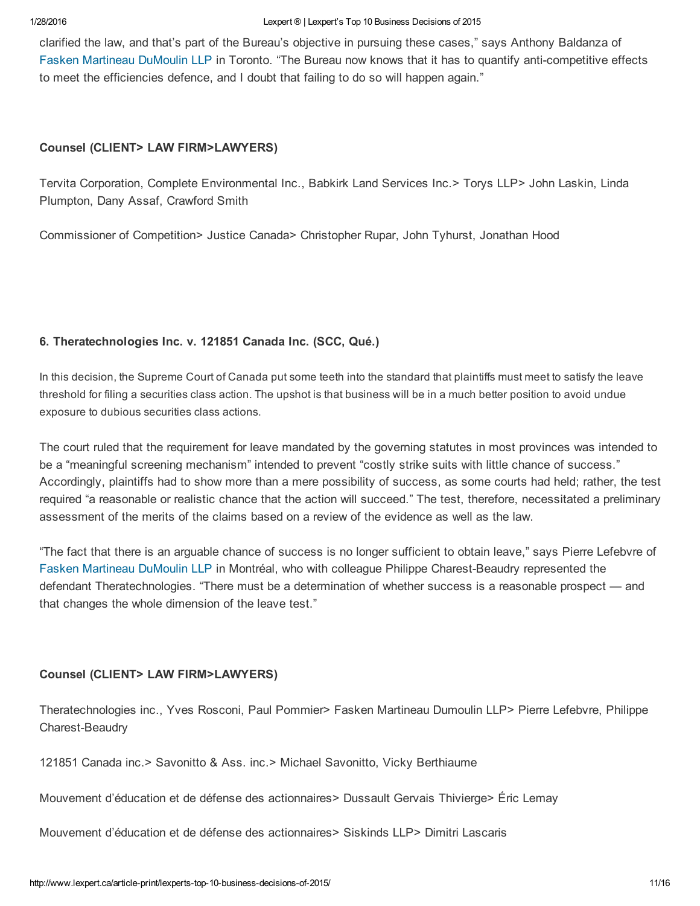clarified the law, and that's part of the Bureau's objective in pursuing these cases," says Anthony Baldanza of Fasken [Martineau](http://www.lexpert.ca/directory/law-firm-profile/fasken-martineau-dumoulin-llp-174/) DuMoulin LLP in Toronto. "The Bureau now knows that it has to quantify anti-competitive effects to meet the efficiencies defence, and I doubt that failing to do so will happen again."

### Counsel (CLIENT> LAW FIRM>LAWYERS)

Tervita Corporation, Complete Environmental Inc., Babkirk Land Services Inc.> Torys LLP> John Laskin, Linda Plumpton, Dany Assaf, Crawford Smith

Commissioner of Competition> Justice Canada> Christopher Rupar, John Tyhurst, Jonathan Hood

### 6. Theratechnologies Inc. v. 121851 Canada Inc. (SCC, Qué.)

In this decision, the Supreme Court of Canada put some teeth into the standard that plaintiffs must meet to satisfy the leave threshold for filing a securities class action. The upshot is that business will be in a much better position to avoid undue exposure to dubious securities class actions.

The court ruled that the requirement for leave mandated by the governing statutes in most provinces was intended to be a "meaningful screening mechanism" intended to prevent "costly strike suits with little chance of success." Accordingly, plaintiffs had to show more than a mere possibility of success, as some courts had held; rather, the test required "a reasonable or realistic chance that the action will succeed." The test, therefore, necessitated a preliminary assessment of the merits of the claims based on a review of the evidence as well as the law.

"The fact that there is an arguable chance of success is no longer sufficient to obtain leave," says Pierre Lefebvre of Fasken [Martineau](http://www.lexpert.ca/directory/law-firm-profile/fasken-martineau-dumoulin-llp-174/) DuMoulin LLP in Montréal, who with colleague Philippe Charest-Beaudry represented the defendant Theratechnologies. "There must be a determination of whether success is a reasonable prospect — and that changes the whole dimension of the leave test."

### Counsel (CLIENT> LAW FIRM>LAWYERS)

Theratechnologies inc., Yves Rosconi, Paul Pommier> Fasken Martineau Dumoulin LLP> Pierre Lefebvre, Philippe Charest-Beaudry

121851 Canada inc.> Savonitto & Ass. inc.> Michael Savonitto, Vicky Berthiaume

Mouvement d'éducation et de défense des actionnaires> Dussault Gervais Thivierge> Éric Lemay

Mouvement d'éducation et de défense des actionnaires> Siskinds LLP> Dimitri Lascaris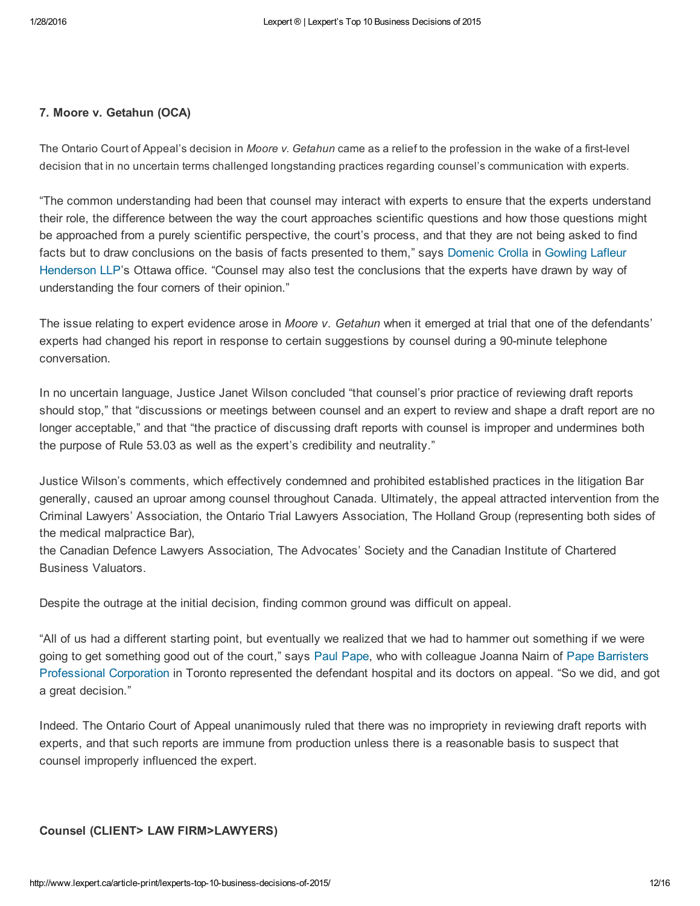### 7. Moore v. Getahun (OCA)

The Ontario Court of Appeal's decision in *Moore v. Getahun* came as a relief to the profession in the wake of a firstlevel decision that in no uncertain terms challenged longstanding practices regarding counsel's communication with experts.

"The common understanding had been that counsel may interact with experts to ensure that the experts understand their role, the difference between the way the court approaches scientific questions and how those questions might be approached from a purely scientific perspective, the court's process, and that they are not being asked to find facts but to draw [conclusions](http://www.lexpert.ca/directory/law-firm-profile/gowling-lafleur-henderson-llp-225/) on the basis of facts presented to them," says [Domenic](http://www.lexpert.ca/directory/practitioner/gowling-lafleur-henderson-llp-107/domenic-a-crolla-7905) Crolla in Gowling Lafleur Henderson LLP's Ottawa office. "Counsel may also test the conclusions that the experts have drawn by way of understanding the four corners of their opinion."

The issue relating to expert evidence arose in *Moore v. Getahun* when it emerged at trial that one of the defendants' experts had changed his report in response to certain suggestions by counsel during a 90-minute telephone conversation.

In no uncertain language, Justice Janet Wilson concluded "that counsel's prior practice of reviewing draft reports should stop," that "discussions or meetings between counsel and an expert to review and shape a draft report are no longer acceptable," and that "the practice of discussing draft reports with counsel is improper and undermines both the purpose of Rule 53.03 as well as the expert's credibility and neutrality."

Justice Wilson's comments, which effectively condemned and prohibited established practices in the litigation Bar generally, caused an uproar among counsel throughout Canada. Ultimately, the appeal attracted intervention from the Criminal Lawyers' Association, the Ontario Trial Lawyers Association, The Holland Group (representing both sides of the medical malpractice Bar),

the Canadian Defence Lawyers Association, The Advocates' Society and the Canadian Institute of Chartered Business Valuators.

Despite the outrage at the initial decision, finding common ground was difficult on appeal.

"All of us had a different starting point, but eventually we realized that we had to hammer out something if we were going to get something good out of the court," says Paul [Pape,](http://www.lexpert.ca/500/practitioner/pape-barristers-professional-corporation-482/paul-j-pape-3196) who with colleague Joanna Nairn of Pape Barristers [Professional](http://www.lexpert.ca/directory/law-firm-profile/pape-barristers-professional-corporation-482) Corporation in Toronto represented the defendant hospital and its doctors on appeal. "So we did, and got a great decision."

Indeed. The Ontario Court of Appeal unanimously ruled that there was no impropriety in reviewing draft reports with experts, and that such reports are immune from production unless there is a reasonable basis to suspect that counsel improperly influenced the expert.

### Counsel (CLIENT> LAW FIRM>LAWYERS)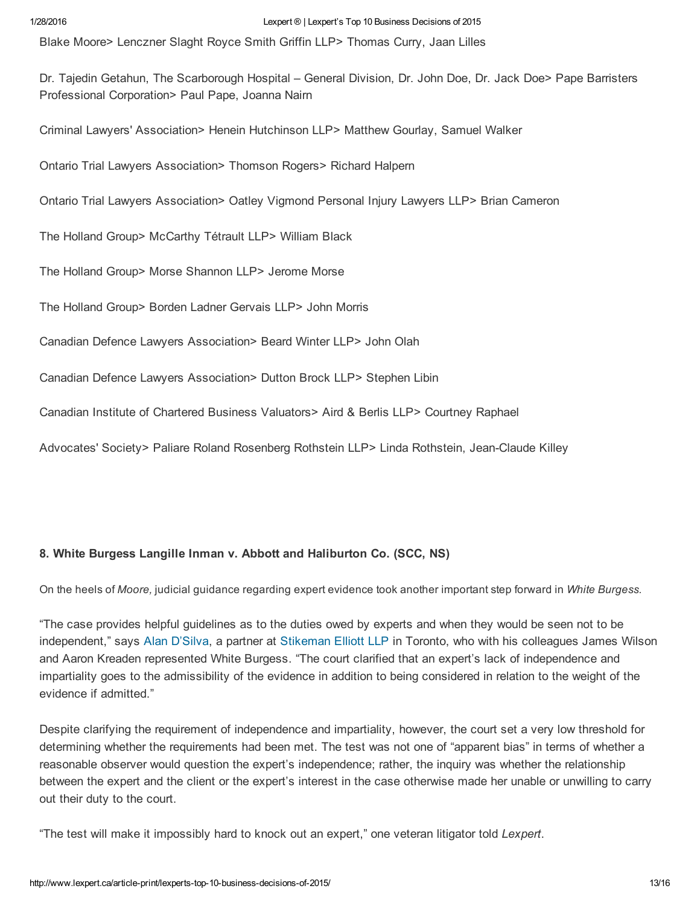Blake Moore> Lenczner Slaght Royce Smith Griffin LLP> Thomas Curry, Jaan Lilles

Dr. Tajedin Getahun, The Scarborough Hospital – General Division, Dr. John Doe, Dr. Jack Doe> Pape Barristers Professional Corporation> Paul Pape, Joanna Nairn

Criminal Lawyers' Association> Henein Hutchinson LLP> Matthew Gourlay, Samuel Walker

Ontario Trial Lawyers Association> Thomson Rogers> Richard Halpern

Ontario Trial Lawyers Association> Oatley Vigmond Personal Injury Lawyers LLP> Brian Cameron

The Holland Group> McCarthy Tétrault LLP> William Black

The Holland Group> Morse Shannon LLP> Jerome Morse

The Holland Group> Borden Ladner Gervais LLP> John Morris

Canadian Defence Lawyers Association> Beard Winter LLP> John Olah

Canadian Defence Lawyers Association> Dutton Brock LLP> Stephen Libin

Canadian Institute of Chartered Business Valuators> Aird & Berlis LLP> Courtney Raphael

Advocates' Society> Paliare Roland Rosenberg Rothstein LLP> Linda Rothstein, Jean-Claude Killey

### 8. White Burgess Langille Inman v. Abbott and Haliburton Co. (SCC, NS)

On the heels of *Moore,* judicial guidance regarding expert evidence took another important step forward in *White Burgess.*

"The case provides helpful guidelines as to the duties owed by experts and when they would be seen not to be independent," says Alan [D'Silva,](http://www.lexpert.ca/500/practitioner/stikeman-elliott-llp-601/alan-l-w-dsilva-14385) a partner at [Stikeman](http://www.lexpert.ca/directory/law-firm-profile/stikeman-elliott-llp-601/) Elliott LLP in Toronto, who with his colleagues James Wilson and Aaron Kreaden represented White Burgess. "The court clarified that an expert's lack of independence and impartiality goes to the admissibility of the evidence in addition to being considered in relation to the weight of the evidence if admitted."

Despite clarifying the requirement of independence and impartiality, however, the court set a very low threshold for determining whether the requirements had been met. The test was not one of "apparent bias" in terms of whether a reasonable observer would question the expert's independence; rather, the inquiry was whether the relationship between the expert and the client or the expert's interest in the case otherwise made her unable or unwilling to carry out their duty to the court.

"The test will make it impossibly hard to knock out an expert," one veteran litigator told *Lexpert*.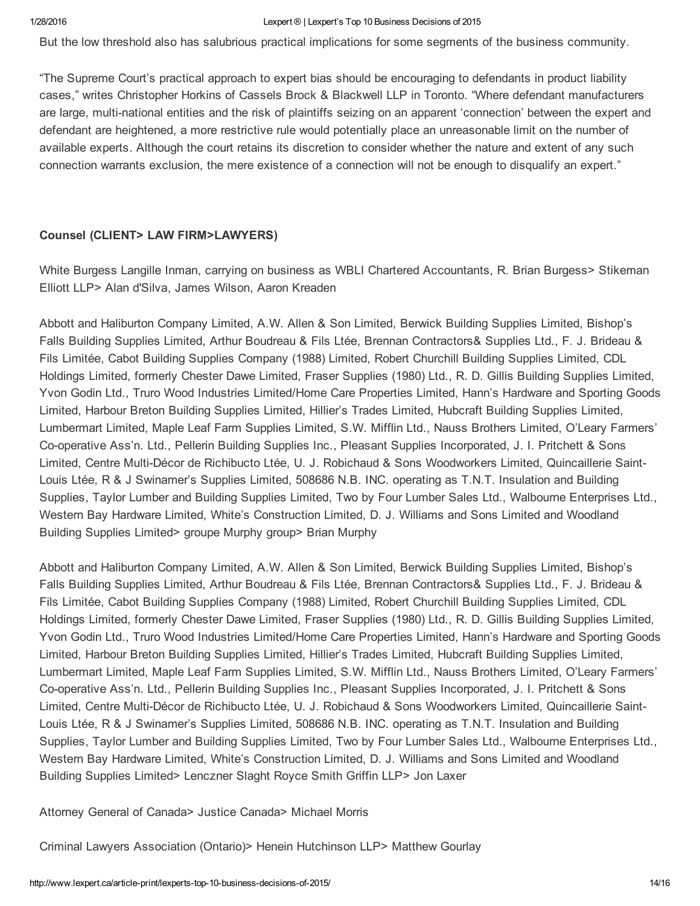But the low threshold also has salubrious practical implications for some segments of the business community.

"The Supreme Court's practical approach to expert bias should be encouraging to defendants in product liability cases," writes Christopher Horkins of Cassels Brock & Blackwell LLP in Toronto. "Where defendant manufacturers are large, multi-national entities and the risk of plaintiffs seizing on an apparent 'connection' between the expert and defendant are heightened, a more restrictive rule would potentially place an unreasonable limit on the number of available experts. Although the court retains its discretion to consider whether the nature and extent of any such connection warrants exclusion, the mere existence of a connection will not be enough to disqualify an expert."

### Counsel (CLIENT> LAW FIRM>LAWYERS)

White Burgess Langille Inman, carrying on business as WBLI Chartered Accountants, R. Brian Burgess> Stikeman Elliott LLP> Alan d'Silva, James Wilson, Aaron Kreaden

Abbott and Haliburton Company Limited, A.W. Allen & Son Limited, Berwick Building Supplies Limited, Bishop's Falls Building Supplies Limited, Arthur Boudreau & Fils Ltée, Brennan Contractors& Supplies Ltd., F. J. Brideau & Fils Limitée, Cabot Building Supplies Company (1988) Limited, Robert Churchill Building Supplies Limited, CDL Holdings Limited, formerly Chester Dawe Limited, Fraser Supplies (1980) Ltd., R. D. Gillis Building Supplies Limited, Yvon Godin Ltd., Truro Wood Industries Limited/Home Care Properties Limited, Hann's Hardware and Sporting Goods Limited, Harbour Breton Building Supplies Limited, Hillier's Trades Limited, Hubcraft Building Supplies Limited, Lumbermart Limited, Maple Leaf Farm Supplies Limited, S.W. Mifflin Ltd., Nauss Brothers Limited, O'Leary Farmers' Cooperative Ass'n. Ltd., Pellerin Building Supplies Inc., Pleasant Supplies Incorporated, J. I. Pritchett & Sons Limited, Centre MultiDécor de Richibucto Ltée, U. J. Robichaud & Sons Woodworkers Limited, Quincaillerie Saint-Louis Ltée, R & J Swinamer's Supplies Limited, 508686 N.B. INC. operating as T.N.T. Insulation and Building Supplies, Taylor Lumber and Building Supplies Limited, Two by Four Lumber Sales Ltd., Walbourne Enterprises Ltd., Western Bay Hardware Limited, White's Construction Limited, D. J. Williams and Sons Limited and Woodland Building Supplies Limited> groupe Murphy group> Brian Murphy

Abbott and Haliburton Company Limited, A.W. Allen & Son Limited, Berwick Building Supplies Limited, Bishop's Falls Building Supplies Limited, Arthur Boudreau & Fils Ltée, Brennan Contractors& Supplies Ltd., F. J. Brideau & Fils Limitée, Cabot Building Supplies Company (1988) Limited, Robert Churchill Building Supplies Limited, CDL Holdings Limited, formerly Chester Dawe Limited, Fraser Supplies (1980) Ltd., R. D. Gillis Building Supplies Limited, Yvon Godin Ltd., Truro Wood Industries Limited/Home Care Properties Limited, Hann's Hardware and Sporting Goods Limited, Harbour Breton Building Supplies Limited, Hillier's Trades Limited, Hubcraft Building Supplies Limited, Lumbermart Limited, Maple Leaf Farm Supplies Limited, S.W. Mifflin Ltd., Nauss Brothers Limited, O'Leary Farmers' Cooperative Ass'n. Ltd., Pellerin Building Supplies Inc., Pleasant Supplies Incorporated, J. I. Pritchett & Sons Limited, Centre MultiDécor de Richibucto Ltée, U. J. Robichaud & Sons Woodworkers Limited, Quincaillerie Saint-Louis Ltée, R & J Swinamer's Supplies Limited, 508686 N.B. INC. operating as T.N.T. Insulation and Building Supplies, Taylor Lumber and Building Supplies Limited, Two by Four Lumber Sales Ltd., Walbourne Enterprises Ltd., Western Bay Hardware Limited, White's Construction Limited, D. J. Williams and Sons Limited and Woodland Building Supplies Limited> Lenczner Slaght Royce Smith Griffin LLP> Jon Laxer

Attorney General of Canada> Justice Canada> Michael Morris

Criminal Lawyers Association (Ontario)> Henein Hutchinson LLP> Matthew Gourlay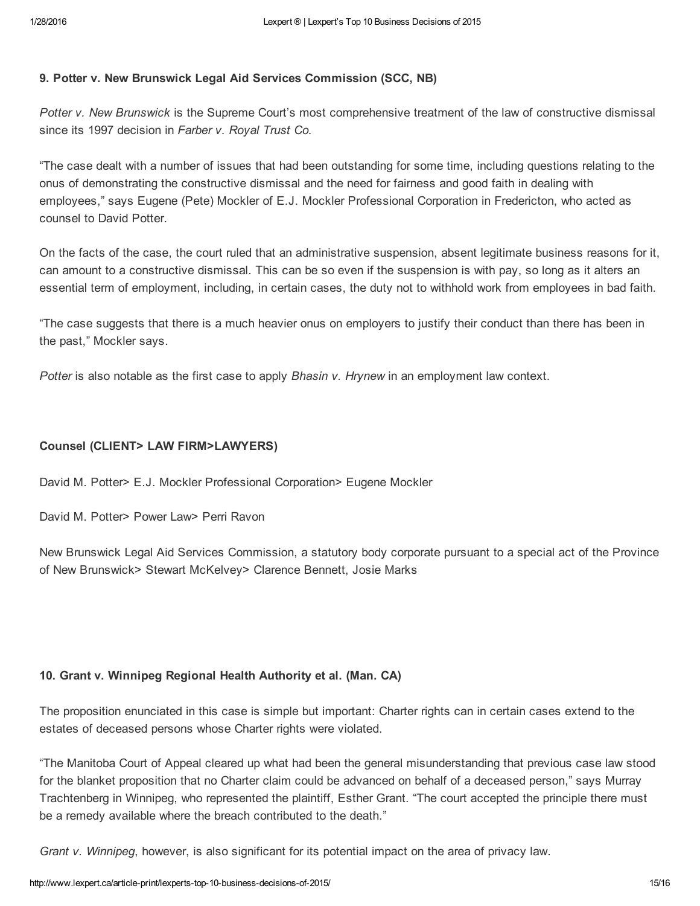### 9. Potter v. New Brunswick Legal Aid Services Commission (SCC, NB)

*Potter v. New Brunswick* is the Supreme Court's most comprehensive treatment of the law of constructive dismissal since its 1997 decision in *Farber v. Royal Trust Co.*

"The case dealt with a number of issues that had been outstanding for some time, including questions relating to the onus of demonstrating the constructive dismissal and the need for fairness and good faith in dealing with employees," says Eugene (Pete) Mockler of E.J. Mockler Professional Corporation in Fredericton, who acted as counsel to David Potter.

On the facts of the case, the court ruled that an administrative suspension, absent legitimate business reasons for it, can amount to a constructive dismissal. This can be so even if the suspension is with pay, so long as it alters an essential term of employment, including, in certain cases, the duty not to withhold work from employees in bad faith.

"The case suggests that there is a much heavier onus on employers to justify their conduct than there has been in the past," Mockler says.

*Potter* is also notable as the first case to apply *Bhasin v. Hrynew* in an employment law context.

### Counsel (CLIENT> LAW FIRM>LAWYERS)

David M. Potter> E.J. Mockler Professional Corporation> Eugene Mockler

David M. Potter> Power Law> Perri Ravon

New Brunswick Legal Aid Services Commission, a statutory body corporate pursuant to a special act of the Province of New Brunswick> Stewart McKelvey> Clarence Bennett, Josie Marks

### 10. Grant v. Winnipeg Regional Health Authority et al. (Man. CA)

The proposition enunciated in this case is simple but important: Charter rights can in certain cases extend to the estates of deceased persons whose Charter rights were violated.

"The Manitoba Court of Appeal cleared up what had been the general misunderstanding that previous case law stood for the blanket proposition that no Charter claim could be advanced on behalf of a deceased person," says Murray Trachtenberg in Winnipeg, who represented the plaintiff, Esther Grant. "The court accepted the principle there must be a remedy available where the breach contributed to the death."

*Grant v. Winnipeg*, however, is also significant for its potential impact on the area of privacy law.